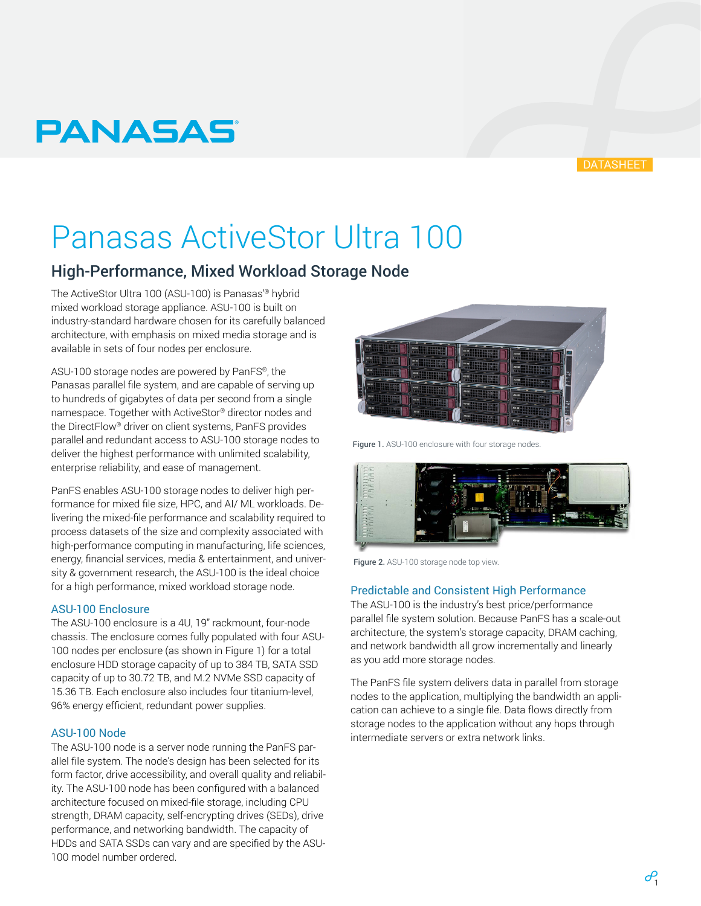## **PANASAS**

#### **DATASHEET**

# Panasas ActiveStor Ultra 100

### High-Performance, Mixed Workload Storage Node

The ActiveStor Ultra 100 (ASU-100) is Panasas'® hybrid mixed workload storage appliance. ASU-100 is built on industry-standard hardware chosen for its carefully balanced architecture, with emphasis on mixed media storage and is available in sets of four nodes per enclosure.

ASU-100 storage nodes are powered by PanFS®, the Panasas parallel file system, and are capable of serving up to hundreds of gigabytes of data per second from a single namespace. Together with ActiveStor® director nodes and the DirectFlow® driver on client systems, PanFS provides parallel and redundant access to ASU-100 storage nodes to deliver the highest performance with unlimited scalability, enterprise reliability, and ease of management.

PanFS enables ASU-100 storage nodes to deliver high performance for mixed file size, HPC, and AI/ ML workloads. Delivering the mixed-file performance and scalability required to process datasets of the size and complexity associated with high-performance computing in manufacturing, life sciences, energy, financial services, media & entertainment, and university & government research, the ASU-100 is the ideal choice for a high performance, mixed workload storage node.

#### ASU-100 Enclosure

The ASU-100 enclosure is a 4U, 19" rackmount, four-node chassis. The enclosure comes fully populated with four ASU-100 nodes per enclosure (as shown in Figure 1) for a total enclosure HDD storage capacity of up to 384 TB, SATA SSD capacity of up to 30.72 TB, and M.2 NVMe SSD capacity of 15.36 TB. Each enclosure also includes four titanium-level, 96% energy efficient, redundant power supplies.

#### ASU-100 Node

The ASU-100 node is a server node running the PanFS parallel file system. The node's design has been selected for its form factor, drive accessibility, and overall quality and reliability. The ASU-100 node has been configured with a balanced architecture focused on mixed-file storage, including CPU strength, DRAM capacity, self-encrypting drives (SEDs), drive performance, and networking bandwidth. The capacity of HDDs and SATA SSDs can vary and are specified by the ASU-100 model number ordered.



Figure 1. ASU-100 enclosure with four storage nodes.



Figure 2. ASU-100 storage node top view.

#### Predictable and Consistent High Performance

The ASU-100 is the industry's best price/performance parallel file system solution. Because PanFS has a scale-out architecture, the system's storage capacity, DRAM caching, and network bandwidth all grow incrementally and linearly as you add more storage nodes.

The PanFS file system delivers data in parallel from storage nodes to the application, multiplying the bandwidth an application can achieve to a single file. Data flows directly from storage nodes to the application without any hops through intermediate servers or extra network links.